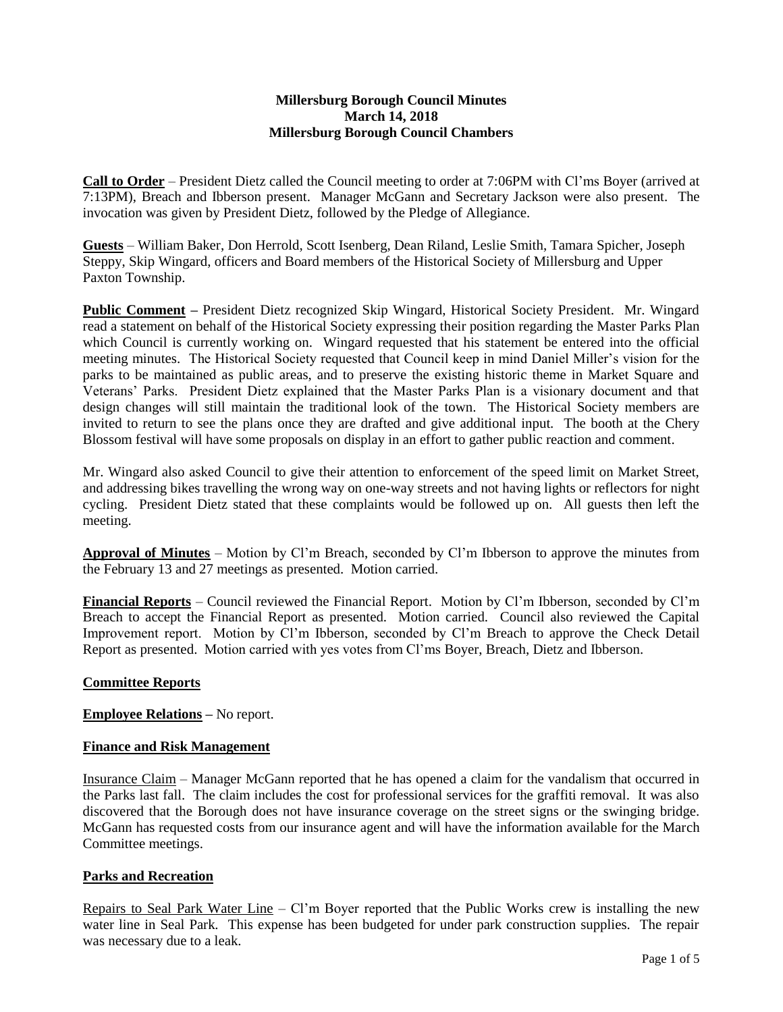### **Millersburg Borough Council Minutes March 14, 2018 Millersburg Borough Council Chambers**

**Call to Order** – President Dietz called the Council meeting to order at 7:06PM with Cl'ms Boyer (arrived at 7:13PM), Breach and Ibberson present. Manager McGann and Secretary Jackson were also present. The invocation was given by President Dietz, followed by the Pledge of Allegiance.

**Guests** – William Baker, Don Herrold, Scott Isenberg, Dean Riland, Leslie Smith, Tamara Spicher, Joseph Steppy, Skip Wingard, officers and Board members of the Historical Society of Millersburg and Upper Paxton Township.

**Public Comment –** President Dietz recognized Skip Wingard, Historical Society President. Mr. Wingard read a statement on behalf of the Historical Society expressing their position regarding the Master Parks Plan which Council is currently working on. Wingard requested that his statement be entered into the official meeting minutes. The Historical Society requested that Council keep in mind Daniel Miller's vision for the parks to be maintained as public areas, and to preserve the existing historic theme in Market Square and Veterans' Parks. President Dietz explained that the Master Parks Plan is a visionary document and that design changes will still maintain the traditional look of the town. The Historical Society members are invited to return to see the plans once they are drafted and give additional input. The booth at the Chery Blossom festival will have some proposals on display in an effort to gather public reaction and comment.

Mr. Wingard also asked Council to give their attention to enforcement of the speed limit on Market Street, and addressing bikes travelling the wrong way on one-way streets and not having lights or reflectors for night cycling. President Dietz stated that these complaints would be followed up on. All guests then left the meeting.

**Approval of Minutes** – Motion by Cl'm Breach, seconded by Cl'm Ibberson to approve the minutes from the February 13 and 27 meetings as presented. Motion carried.

**Financial Reports** – Council reviewed the Financial Report. Motion by Cl'm Ibberson, seconded by Cl'm Breach to accept the Financial Report as presented. Motion carried. Council also reviewed the Capital Improvement report. Motion by Cl'm Ibberson, seconded by Cl'm Breach to approve the Check Detail Report as presented. Motion carried with yes votes from Cl'ms Boyer, Breach, Dietz and Ibberson.

## **Committee Reports**

**Employee Relations –** No report.

#### **Finance and Risk Management**

Insurance Claim – Manager McGann reported that he has opened a claim for the vandalism that occurred in the Parks last fall. The claim includes the cost for professional services for the graffiti removal. It was also discovered that the Borough does not have insurance coverage on the street signs or the swinging bridge. McGann has requested costs from our insurance agent and will have the information available for the March Committee meetings.

## **Parks and Recreation**

Repairs to Seal Park Water Line – Cl'm Boyer reported that the Public Works crew is installing the new water line in Seal Park. This expense has been budgeted for under park construction supplies. The repair was necessary due to a leak.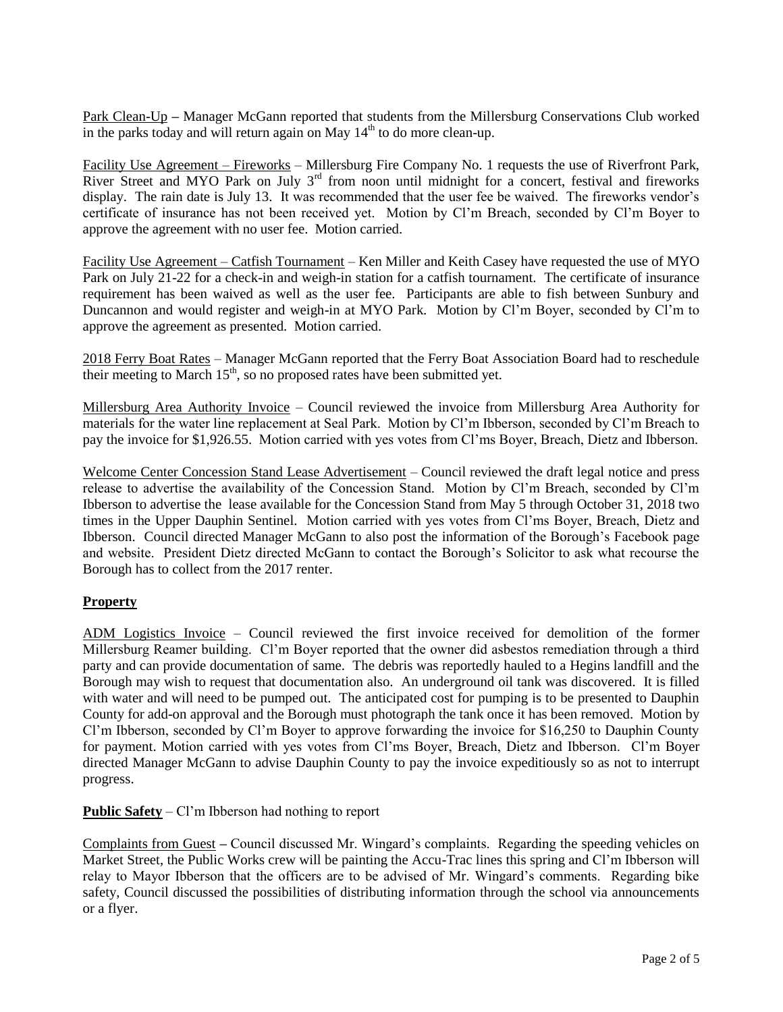Park Clean-Up **–** Manager McGann reported that students from the Millersburg Conservations Club worked in the parks today and will return again on May  $14<sup>th</sup>$  to do more clean-up.

Facility Use Agreement – Fireworks – Millersburg Fire Company No. 1 requests the use of Riverfront Park, River Street and MYO Park on July  $3<sup>rd</sup>$  from noon until midnight for a concert, festival and fireworks display. The rain date is July 13. It was recommended that the user fee be waived. The fireworks vendor's certificate of insurance has not been received yet. Motion by Cl'm Breach, seconded by Cl'm Boyer to approve the agreement with no user fee. Motion carried.

Facility Use Agreement – Catfish Tournament – Ken Miller and Keith Casey have requested the use of MYO Park on July 21-22 for a check-in and weigh-in station for a catfish tournament. The certificate of insurance requirement has been waived as well as the user fee. Participants are able to fish between Sunbury and Duncannon and would register and weigh-in at MYO Park. Motion by Cl'm Boyer, seconded by Cl'm to approve the agreement as presented. Motion carried.

2018 Ferry Boat Rates – Manager McGann reported that the Ferry Boat Association Board had to reschedule their meeting to March  $15<sup>th</sup>$ , so no proposed rates have been submitted yet.

Millersburg Area Authority Invoice – Council reviewed the invoice from Millersburg Area Authority for materials for the water line replacement at Seal Park. Motion by Cl'm Ibberson, seconded by Cl'm Breach to pay the invoice for \$1,926.55. Motion carried with yes votes from Cl'ms Boyer, Breach, Dietz and Ibberson.

Welcome Center Concession Stand Lease Advertisement – Council reviewed the draft legal notice and press release to advertise the availability of the Concession Stand. Motion by Cl'm Breach, seconded by Cl'm Ibberson to advertise the lease available for the Concession Stand from May 5 through October 31, 2018 two times in the Upper Dauphin Sentinel. Motion carried with yes votes from Cl'ms Boyer, Breach, Dietz and Ibberson. Council directed Manager McGann to also post the information of the Borough's Facebook page and website. President Dietz directed McGann to contact the Borough's Solicitor to ask what recourse the Borough has to collect from the 2017 renter.

## **Property**

ADM Logistics Invoice – Council reviewed the first invoice received for demolition of the former Millersburg Reamer building. Cl'm Boyer reported that the owner did asbestos remediation through a third party and can provide documentation of same. The debris was reportedly hauled to a Hegins landfill and the Borough may wish to request that documentation also. An underground oil tank was discovered. It is filled with water and will need to be pumped out. The anticipated cost for pumping is to be presented to Dauphin County for add-on approval and the Borough must photograph the tank once it has been removed. Motion by Cl'm Ibberson, seconded by Cl'm Boyer to approve forwarding the invoice for \$16,250 to Dauphin County for payment. Motion carried with yes votes from Cl'ms Boyer, Breach, Dietz and Ibberson. Cl'm Boyer directed Manager McGann to advise Dauphin County to pay the invoice expeditiously so as not to interrupt progress.

**Public Safety** – Cl'm Ibberson had nothing to report

Complaints from Guest **–** Council discussed Mr. Wingard's complaints. Regarding the speeding vehicles on Market Street, the Public Works crew will be painting the Accu-Trac lines this spring and Cl'm Ibberson will relay to Mayor Ibberson that the officers are to be advised of Mr. Wingard's comments. Regarding bike safety, Council discussed the possibilities of distributing information through the school via announcements or a flyer.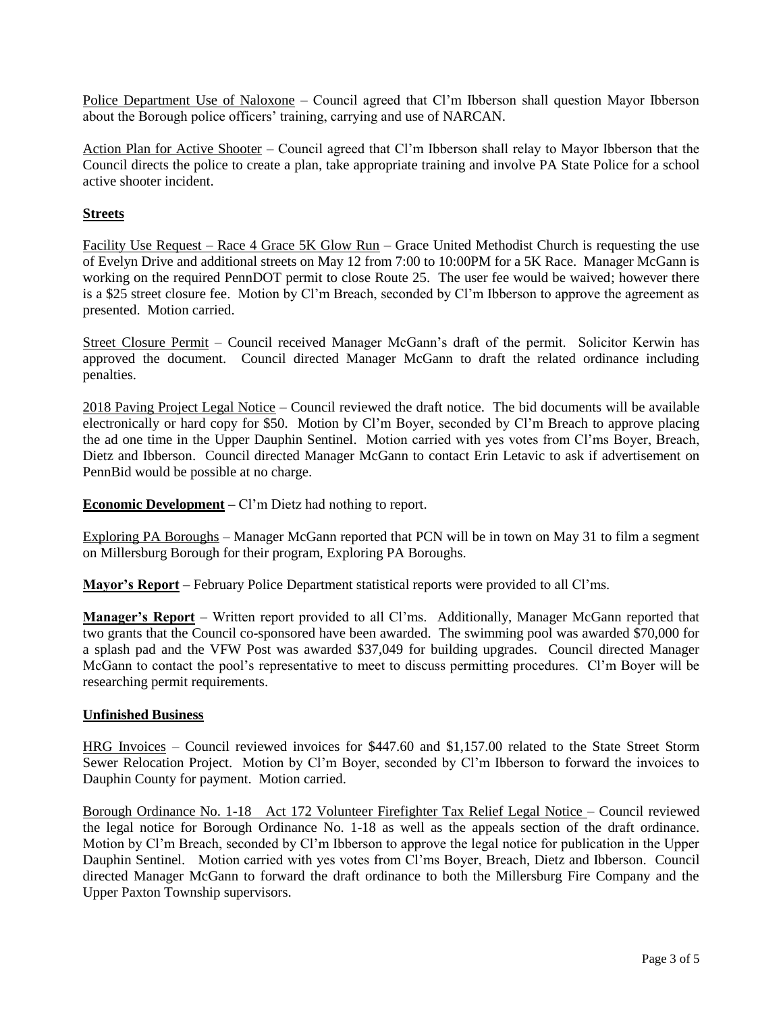Police Department Use of Naloxone – Council agreed that Cl'm Ibberson shall question Mayor Ibberson about the Borough police officers' training, carrying and use of NARCAN.

Action Plan for Active Shooter – Council agreed that Cl'm Ibberson shall relay to Mayor Ibberson that the Council directs the police to create a plan, take appropriate training and involve PA State Police for a school active shooter incident.

# **Streets**

Facility Use Request – Race 4 Grace 5K Glow Run – Grace United Methodist Church is requesting the use of Evelyn Drive and additional streets on May 12 from 7:00 to 10:00PM for a 5K Race. Manager McGann is working on the required PennDOT permit to close Route 25. The user fee would be waived; however there is a \$25 street closure fee. Motion by Cl'm Breach, seconded by Cl'm Ibberson to approve the agreement as presented. Motion carried.

Street Closure Permit – Council received Manager McGann's draft of the permit. Solicitor Kerwin has approved the document. Council directed Manager McGann to draft the related ordinance including penalties.

2018 Paving Project Legal Notice – Council reviewed the draft notice. The bid documents will be available electronically or hard copy for \$50. Motion by Cl'm Boyer, seconded by Cl'm Breach to approve placing the ad one time in the Upper Dauphin Sentinel. Motion carried with yes votes from Cl'ms Boyer, Breach, Dietz and Ibberson. Council directed Manager McGann to contact Erin Letavic to ask if advertisement on PennBid would be possible at no charge.

**Economic Development –** Cl'm Dietz had nothing to report.

Exploring PA Boroughs – Manager McGann reported that PCN will be in town on May 31 to film a segment on Millersburg Borough for their program, Exploring PA Boroughs.

**Mayor's Report –** February Police Department statistical reports were provided to all Cl'ms.

**Manager's Report** – Written report provided to all Cl'ms. Additionally, Manager McGann reported that two grants that the Council co-sponsored have been awarded. The swimming pool was awarded \$70,000 for a splash pad and the VFW Post was awarded \$37,049 for building upgrades. Council directed Manager McGann to contact the pool's representative to meet to discuss permitting procedures. Cl'm Boyer will be researching permit requirements.

## **Unfinished Business**

HRG Invoices – Council reviewed invoices for \$447.60 and \$1,157.00 related to the State Street Storm Sewer Relocation Project. Motion by Cl'm Boyer, seconded by Cl'm Ibberson to forward the invoices to Dauphin County for payment. Motion carried.

Borough Ordinance No. 1-18 Act 172 Volunteer Firefighter Tax Relief Legal Notice – Council reviewed the legal notice for Borough Ordinance No. 1-18 as well as the appeals section of the draft ordinance. Motion by Cl'm Breach, seconded by Cl'm Ibberson to approve the legal notice for publication in the Upper Dauphin Sentinel. Motion carried with yes votes from Cl'ms Boyer, Breach, Dietz and Ibberson. Council directed Manager McGann to forward the draft ordinance to both the Millersburg Fire Company and the Upper Paxton Township supervisors.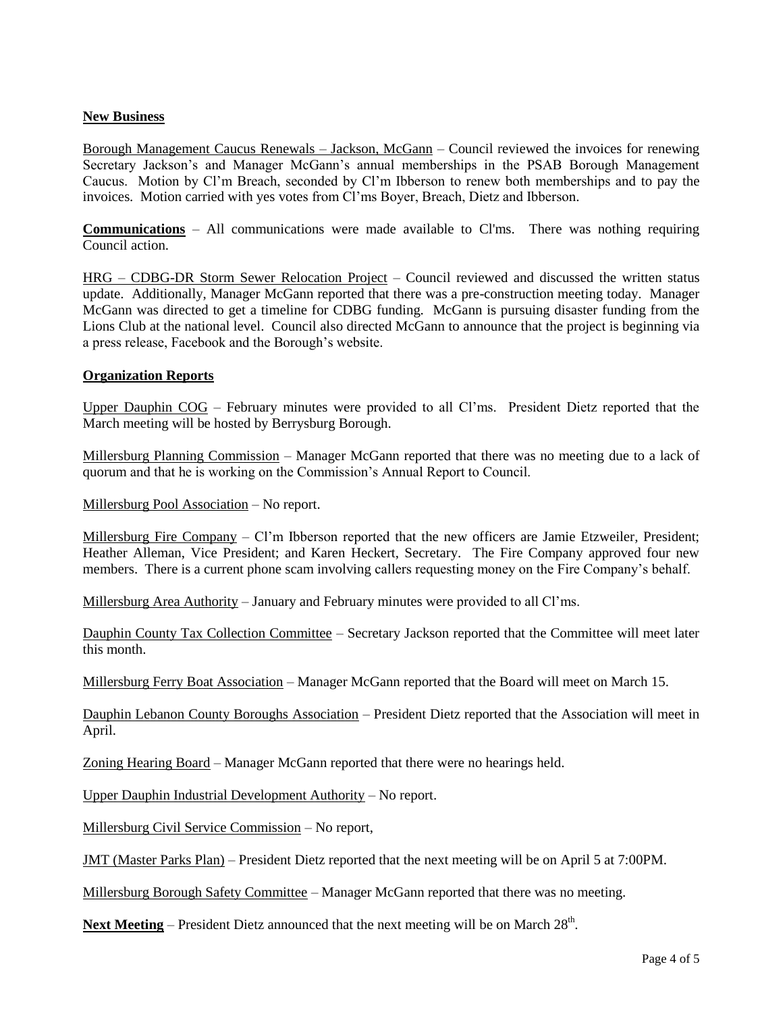## **New Business**

Borough Management Caucus Renewals – Jackson, McGann – Council reviewed the invoices for renewing Secretary Jackson's and Manager McGann's annual memberships in the PSAB Borough Management Caucus. Motion by Cl'm Breach, seconded by Cl'm Ibberson to renew both memberships and to pay the invoices. Motion carried with yes votes from Cl'ms Boyer, Breach, Dietz and Ibberson.

**Communications** – All communications were made available to Cl'ms. There was nothing requiring Council action.

HRG – CDBG-DR Storm Sewer Relocation Project – Council reviewed and discussed the written status update. Additionally, Manager McGann reported that there was a pre-construction meeting today. Manager McGann was directed to get a timeline for CDBG funding. McGann is pursuing disaster funding from the Lions Club at the national level. Council also directed McGann to announce that the project is beginning via a press release, Facebook and the Borough's website.

## **Organization Reports**

Upper Dauphin COG – February minutes were provided to all Cl'ms. President Dietz reported that the March meeting will be hosted by Berrysburg Borough.

Millersburg Planning Commission – Manager McGann reported that there was no meeting due to a lack of quorum and that he is working on the Commission's Annual Report to Council.

Millersburg Pool Association – No report.

Millersburg Fire Company – Cl'm Ibberson reported that the new officers are Jamie Etzweiler, President; Heather Alleman, Vice President; and Karen Heckert, Secretary. The Fire Company approved four new members. There is a current phone scam involving callers requesting money on the Fire Company's behalf.

Millersburg Area Authority – January and February minutes were provided to all Cl'ms.

Dauphin County Tax Collection Committee – Secretary Jackson reported that the Committee will meet later this month.

Millersburg Ferry Boat Association – Manager McGann reported that the Board will meet on March 15.

Dauphin Lebanon County Boroughs Association – President Dietz reported that the Association will meet in April.

Zoning Hearing Board – Manager McGann reported that there were no hearings held.

Upper Dauphin Industrial Development Authority – No report.

Millersburg Civil Service Commission – No report,

JMT (Master Parks Plan) – President Dietz reported that the next meeting will be on April 5 at 7:00PM.

Millersburg Borough Safety Committee – Manager McGann reported that there was no meeting.

Next Meeting – President Dietz announced that the next meeting will be on March 28<sup>th</sup>.